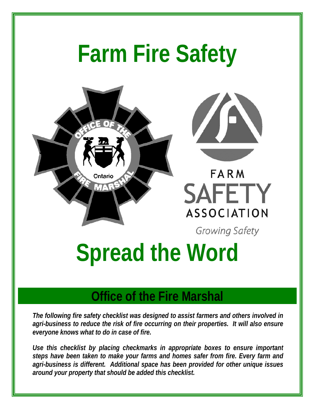# **Farm Fire Safety**





**FARM SAFETY** ASSOCIATION

Growing Safety

# **Spread the Word**

# **Office of the Fire Marshal**

*The following fire safety checklist was designed to assist farmers and others involved in agri-business to reduce the risk of fire occurring on their properties. It will also ensure everyone knows what to do in case of fire.* 

*Use this checklist by placing checkmarks in appropriate boxes to ensure important steps have been taken to make your farms and homes safer from fire. Every farm and agri-business is different. Additional space has been provided for other unique issues around your property that should be added this checklist.*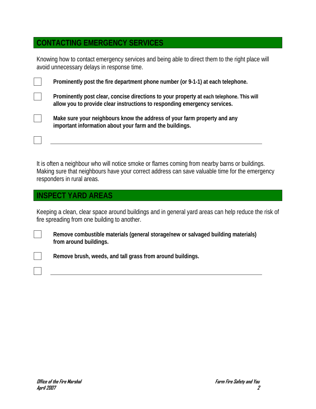## **CONTACTING EMERGENCY SERVICES**

Knowing how to contact emergency services and being able to direct them to the right place will avoid unnecessary delays in response time.

| Prominently post the fire department phone number (or 9-1-1) at each telephone.                                                                                       |
|-----------------------------------------------------------------------------------------------------------------------------------------------------------------------|
| Prominently post clear, concise directions to your property at each telephone. This will<br>allow you to provide clear instructions to responding emergency services. |
| Make sure your neighbours know the address of your farm property and any<br>important information about your farm and the buildings.                                  |
|                                                                                                                                                                       |

It is often a neighbour who will notice smoke or flames coming from nearby barns or buildings. Making sure that neighbours have your correct address can save valuable time for the emergency responders in rural areas.

# **INSPECT YARD AREAS**

Keeping a clean, clear space around buildings and in general yard areas can help reduce the risk of fire spreading from one building to another.

 **Remove combustible materials (general storage/new or salvaged building materials) from around buildings.** 

**Remove brush, weeds, and tall grass from around buildings.**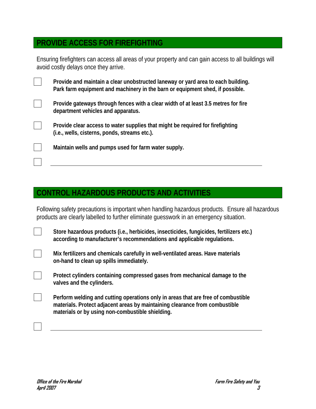# **PROVIDE ACCESS FOR FIREFIGHTING**

Ensuring firefighters can access all areas of your property and can gain access to all buildings will avoid costly delays once they arrive.

 **Provide and maintain a clear unobstructed laneway or yard area to each building. Park farm equipment and machinery in the barn or equipment shed, if possible.** 

 **Provide gateways through fences with a clear width of at least 3.5 metres for fire department vehicles and apparatus.** 

 **Provide clear access to water supplies that might be required for firefighting (i.e., wells, cisterns, ponds, streams etc.).** 

**Maintain wells and pumps used for farm water supply.** 

#### **CONTROL HAZARDOUS PRODUCTS AND ACTIVITIES**

Following safety precautions is important when handling hazardous products. Ensure all hazardous products are clearly labelled to further eliminate guesswork in an emergency situation.

 **Store hazardous products (i.e., herbicides, insecticides, fungicides, fertilizers etc.) according to manufacturer's recommendations and applicable regulations.** 

 **Mix fertilizers and chemicals carefully in well-ventilated areas. Have materials on-hand to clean up spills immediately.** 

 **Protect cylinders containing compressed gases from mechanical damage to the valves and the cylinders.** 

 **Perform welding and cutting operations only in areas that are free of combustible materials. Protect adjacent areas by maintaining clearance from combustible materials or by using non-combustible shielding.**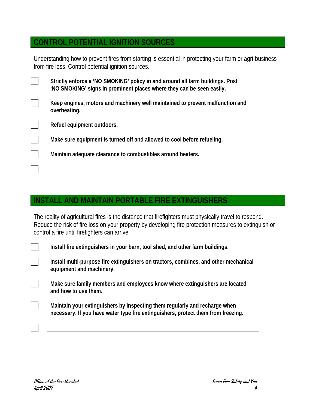# **CONTROL POTENTIAL IGNITION SOURCES**

Understanding how to prevent fires from starting is essential in protecting your farm or agri-business from fire loss. Control potential ignition sources.

 **Strictly enforce a 'NO SMOKING' policy in and around all farm buildings. Post 'NO SMOKING' signs in prominent places where they can be seen easily.** 

 **Keep engines, motors and machinery well maintained to prevent malfunction and overheating.** 

**Refuel equipment outdoors.** 

**Make sure equipment is turned off and allowed to cool before refueling.** 

**Maintain adequate clearance to combustibles around heaters.** 

### **INSTALL AND MAINTAIN PORTABLE FIRE EXTINGUISHERS**

The reality of agricultural fires is the distance that firefighters must physically travel to respond. Reduce the risk of fire loss on your property by developing fire protection measures to extinguish or control a fire until firefighters can arrive.

**Install fire extinguishers in your barn, tool shed, and other farm buildings.** 

 **Install multi-purpose fire extinguishers on tractors, combines, and other mechanical equipment and machinery.** 

 **Make sure family members and employees know where extinguishers are located and how to use them.** 

 **Maintain your extinguishers by inspecting them regularly and recharge when necessary. If you have water type fire extinguishers, protect them from freezing.**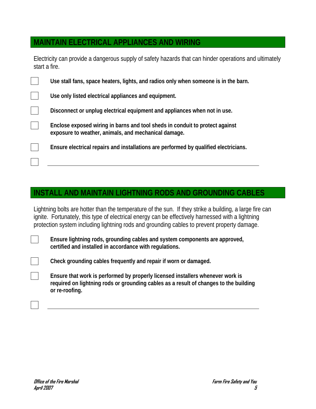### **MAINTAIN ELECTRICAL APPLIANCES AND WIRING**

Electricity can provide a dangerous supply of safety hazards that can hinder operations and ultimately start a fire.

| Use stall fans, space heaters, lights, and radios only when someone is in the barn.                                                  |
|--------------------------------------------------------------------------------------------------------------------------------------|
| Use only listed electrical appliances and equipment.                                                                                 |
| Disconnect or unplug electrical equipment and appliances when not in use.                                                            |
| Enclose exposed wiring in barns and tool sheds in conduit to protect against<br>exposure to weather, animals, and mechanical damage. |
| Ensure electrical repairs and installations are performed by qualified electricians.                                                 |
|                                                                                                                                      |

#### **INSTALL AND MAINTAIN LIGHTNING RODS AND GROUNDING CABLES**

Lightning bolts are hotter than the temperature of the sun. If they strike a building, a large fire can ignite. Fortunately, this type of electrical energy can be effectively harnessed with a lightning protection system including lightning rods and grounding cables to prevent property damage.

 **Ensure lightning rods, grounding cables and system components are approved, certified and installed in accordance with regulations.** 

**Check grounding cables frequently and repair if worn or damaged.** 

 **Ensure that work is performed by properly licensed installers whenever work is required on lightning rods or grounding cables as a result of changes to the building or re-roofing.**